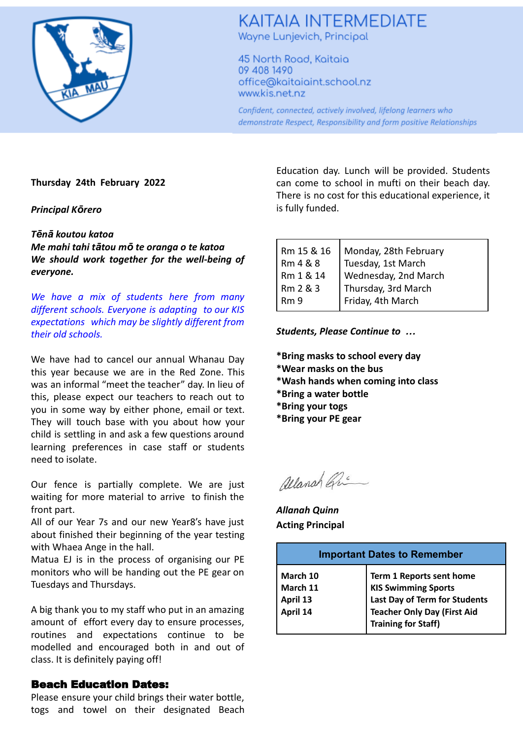

# **KAITAIA INTERMEDIATE** Wayne Lunjevich, Principal

45 North Road, Kaitaia 09 408 1490 office@kaitaiaint.school.nz www.kis.net.nz

Confident, connected, actively involved, lifelong learners who demonstrate Respect, Responsibility and form positive Relationships

### **Thursday 24th February 2022**

#### *Principal Kōrero*

#### *Tēnā koutou katoa*

*Me mahi tahi tātou mō te oranga o te katoa We should work together for the well-being of everyone.*

*We have a mix of students here from many different schools. Everyone is adapting to our KIS expectations which may be slightly different from their old schools.*

We have had to cancel our annual Whanau Day this year because we are in the Red Zone. This was an informal "meet the teacher" day. In lieu of this, please expect our teachers to reach out to you in some way by either phone, email or text. They will touch base with you about how your child is settling in and ask a few questions around learning preferences in case staff or students need to isolate.

Our fence is partially complete. We are just waiting for more material to arrive to finish the front part.

All of our Year 7s and our new Year8's have just about finished their beginning of the year testing with Whaea Ange in the hall.

Matua EJ is in the process of organising our PE monitors who will be handing out the PE gear on Tuesdays and Thursdays.

A big thank you to my staff who put in an amazing amount of effort every day to ensure processes, routines and expectations continue to be modelled and encouraged both in and out of class. It is definitely paying off!

## Beach Education Dates:

Please ensure your child brings their water bottle, togs and towel on their designated Beach Education day. Lunch will be provided. Students can come to school in mufti on their beach day. There is no cost for this educational experience, it is fully funded.

| Rm 15 & 16<br>Rm 4 & 8       | Monday, 28th February<br>Tuesday, 1st March                      |
|------------------------------|------------------------------------------------------------------|
| Rm 1 & 14                    |                                                                  |
| Rm 2 & 3<br>R <sub>m</sub> 9 | Wednesday, 2nd March<br>Thursday, 3rd March<br>Friday, 4th March |

*Students, Please Continue to …*

- **\*Bring masks to school every day**
- **\*Wear masks on the bus**
- **\*Wash hands when coming into class**
- **\*Bring a water bottle**
- **\*Bring your togs**
- **\*Bring your PE gear**

allanah Gri

*Allanah Quinn* **Acting Principal**

| <b>Important Dates to Remember</b> |                                                     |
|------------------------------------|-----------------------------------------------------|
| March 10                           | <b>Term 1 Reports sent home KIS Swimming Sports</b> |
| March 11                           | Last Day of Term for Students                       |
| April 13                           | <b>Teacher Only Day (First Aid</b>                  |
| April 14                           | Training for Staff)                                 |